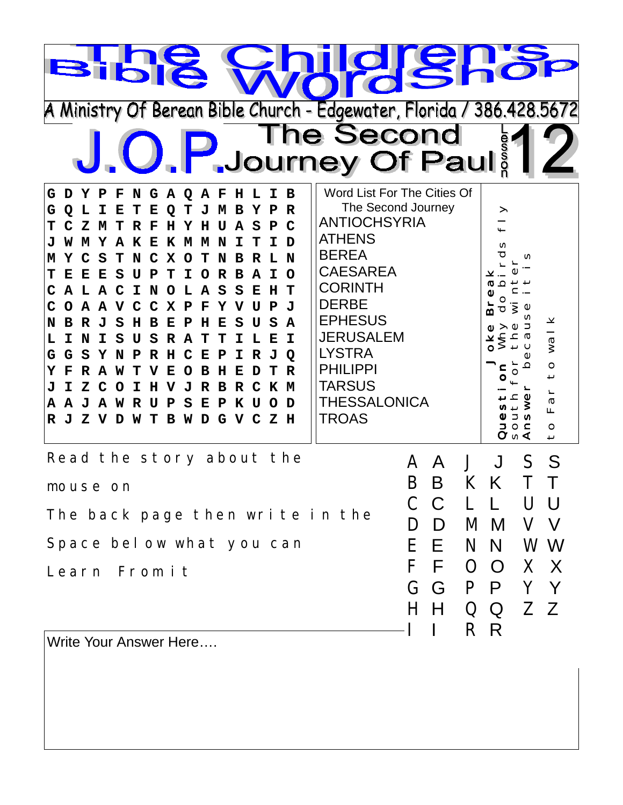| A Ministry Of Berean Bible Church - Edgewater, Florida / 386.428.5672                                                                                                                                                                                                                                                                                                                                                                                                                                                                                                                                                                                                                                                                                                                                                                                                                                                                                                                                                                     | <b>Words!</b><br>The Second                                                                                                                                                                                                                                                                      |                                                                                                                     |
|-------------------------------------------------------------------------------------------------------------------------------------------------------------------------------------------------------------------------------------------------------------------------------------------------------------------------------------------------------------------------------------------------------------------------------------------------------------------------------------------------------------------------------------------------------------------------------------------------------------------------------------------------------------------------------------------------------------------------------------------------------------------------------------------------------------------------------------------------------------------------------------------------------------------------------------------------------------------------------------------------------------------------------------------|--------------------------------------------------------------------------------------------------------------------------------------------------------------------------------------------------------------------------------------------------------------------------------------------------|---------------------------------------------------------------------------------------------------------------------|
| U. P. Journey Of Paul<br>F N G A Q<br>G D Y P<br>A F<br>$\mathbf H$<br>L<br>в<br>I.<br>$\mathbf R$<br>Е<br>Е<br>O<br>в<br>$\mathbf C$<br>т<br>z<br>н<br>A<br>S<br>P<br>м<br>F<br>н<br>Y<br>U<br>Y A K E<br>K M M N<br>D<br>м<br>т<br>т<br>т<br>- N<br>X<br>S<br>N<br>C<br>O<br>т<br>N<br>в<br>R<br>т.<br>B<br>т<br>Е<br>Е<br>S<br>т<br>I.<br>$\mathbf R$<br>A I<br>$\Omega$<br>τT<br>Р<br>O<br>A L A C I N O L<br>A<br>S<br>S<br>T<br>C<br>Е<br>н<br>A<br>$\mathbf{J}$<br>A<br>v<br>$\mathbf C$<br>$\mathbf{C}$<br>X<br>P<br>F<br>Y<br>N<br>н<br>S<br>A<br>R<br>ъT.<br>S<br>в<br>Е<br>Р<br>н<br>Е<br>S.<br>S<br>R A<br>т.<br>I<br>L,<br>N<br>I.<br>U<br>т<br>т<br>I<br>Е<br>G<br>G.<br>S<br>Y N<br>$\overline{Q}$<br>$\mathbf P$<br>R<br>н<br>C<br>Е<br>P<br>I<br>R<br>J<br>Y<br>н<br>E<br>R<br>R<br>w<br>F.<br>O<br>$\mathbf{z}$<br>C O<br>н<br>V J<br>$\mathbf{R}$<br>$\mathbf C$<br>K<br>M<br>I.<br>$\mathbf R$<br>в<br>A<br>A J A W R<br>S<br>Е<br>P<br>K U<br>$\Omega$<br>D<br>τT<br>P<br>J Z V D W T B W D G V C Z H<br>$\mathbf R$ | Word List For The Cities Of<br>The Second Journey<br><b>ANTIOCHSYRIA</b><br><b>ATHENS</b><br><b>BEREA</b><br><b>CAESAREA</b><br><b>CORINTH</b><br><b>DERBE</b><br><b>EPHESUS</b><br><b>JERUSALEM</b><br><b>LYSTRA</b><br><b>PHILIPPI</b><br><b>TARSUS</b><br><b>THESSALONICA</b><br><b>TROAS</b> | ><br>N<br>M<br>ര വ<br>How ot<br>↻<br>16<br>v<br>$\tilde{S}$<br>Щ<br>$\circ$<br>⊙ ⊆<br>(∩ <b>√</b><br>$\overline{ }$ |
| Read the story about the<br>mouse on<br>The back page then write in the<br>Space bel ow what you can<br>Learn From it<br>Write Your Anewer Here                                                                                                                                                                                                                                                                                                                                                                                                                                                                                                                                                                                                                                                                                                                                                                                                                                                                                           | A<br>$\mathbf{I}$<br>$\Delta$<br>B<br>C<br>$\mathcal{C}$<br>I)<br>D<br>E.<br>H.<br>F<br>$\Omega$<br>F<br>G<br>G                                                                                                                                                                                  | S<br>S<br>J<br>K<br>M M<br>V V<br>N N<br>W W<br>$\overline{O}$<br>X X<br>P P<br>Y Y<br>ΖZ<br>Q Q<br>R R             |

Write Your Answer Here….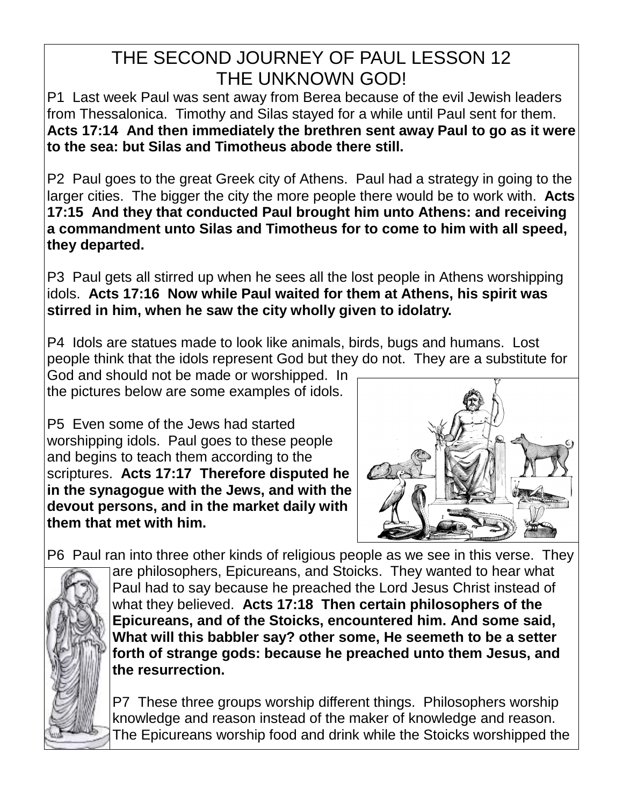## THE SECOND JOURNEY OF PAUL LESSON 12 THE UNKNOWN GOD!

P1 Last week Paul was sent away from Berea because of the evil Jewish leaders from Thessalonica. Timothy and Silas stayed for a while until Paul sent for them. **Acts 17:14 And then immediately the brethren sent away Paul to go as it were to the sea: but Silas and Timotheus abode there still.**

P2 Paul goes to the great Greek city of Athens. Paul had a strategy in going to the larger cities. The bigger the city the more people there would be to work with. **Acts 17:15 And they that conducted Paul brought him unto Athens: and receiving a commandment unto Silas and Timotheus for to come to him with all speed, they departed.**

P3 Paul gets all stirred up when he sees all the lost people in Athens worshipping idols. **Acts 17:16 Now while Paul waited for them at Athens, his spirit was stirred in him, when he saw the city wholly given to idolatry.**

P4 Idols are statues made to look like animals, birds, bugs and humans. Lost people think that the idols represent God but they do not. They are a substitute for

God and should not be made or worshipped. In the pictures below are some examples of idols.

P5 Even some of the Jews had started worshipping idols. Paul goes to these people and begins to teach them according to the scriptures. **Acts 17:17 Therefore disputed he in the synagogue with the Jews, and with the devout persons, and in the market daily with them that met with him.**



P6 Paul ran into three other kinds of religious people as we see in this verse. They



are philosophers, Epicureans, and Stoicks. They wanted to hear what Paul had to say because he preached the Lord Jesus Christ instead of what they believed. **Acts 17:18 Then certain philosophers of the Epicureans, and of the Stoicks, encountered him. And some said, What will this babbler say? other some, He seemeth to be a setter forth of strange gods: because he preached unto them Jesus, and the resurrection.**

P7 These three groups worship different things. Philosophers worship knowledge and reason instead of the maker of knowledge and reason. The Epicureans worship food and drink while the Stoicks worshipped the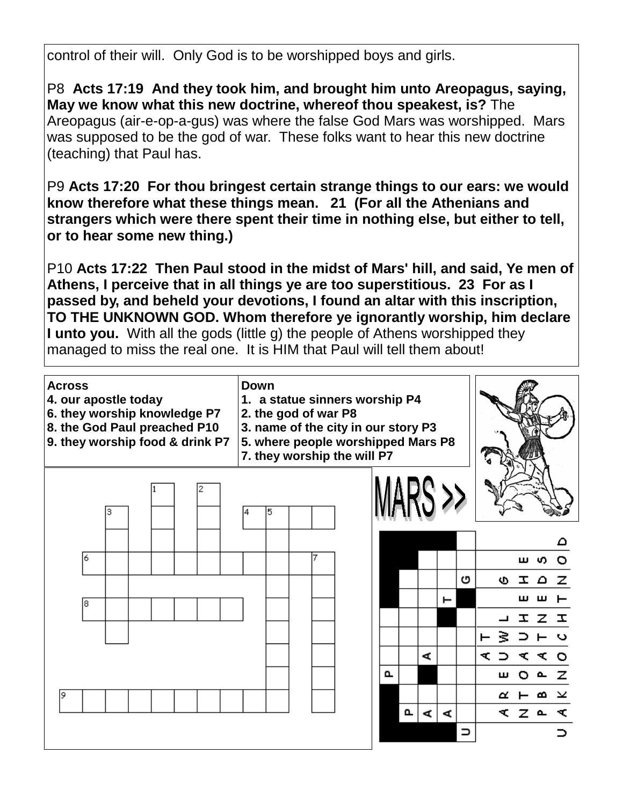control of their will. Only God is to be worshipped boys and girls.

P8 **Acts 17:19 And they took him, and brought him unto Areopagus, saying, May we know what this new doctrine, whereof thou speakest, is?** The Areopagus (air-e-op-a-gus) was where the false God Mars was worshipped. Mars was supposed to be the god of war. These folks want to hear this new doctrine (teaching) that Paul has.

P9 **Acts 17:20 For thou bringest certain strange things to our ears: we would know therefore what these things mean. 21 (For all the Athenians and strangers which were there spent their time in nothing else, but either to tell, or to hear some new thing.)** 

P10 **Acts 17:22 Then Paul stood in the midst of Mars' hill, and said, Ye men of Athens, I perceive that in all things ye are too superstitious. 23 For as I passed by, and beheld your devotions, I found an altar with this inscription, TO THE UNKNOWN GOD. Whom therefore ye ignorantly worship, him declare I unto you.** With all the gods (little g) the people of Athens worshipped they managed to miss the real one. It is HIM that Paul will tell them about!